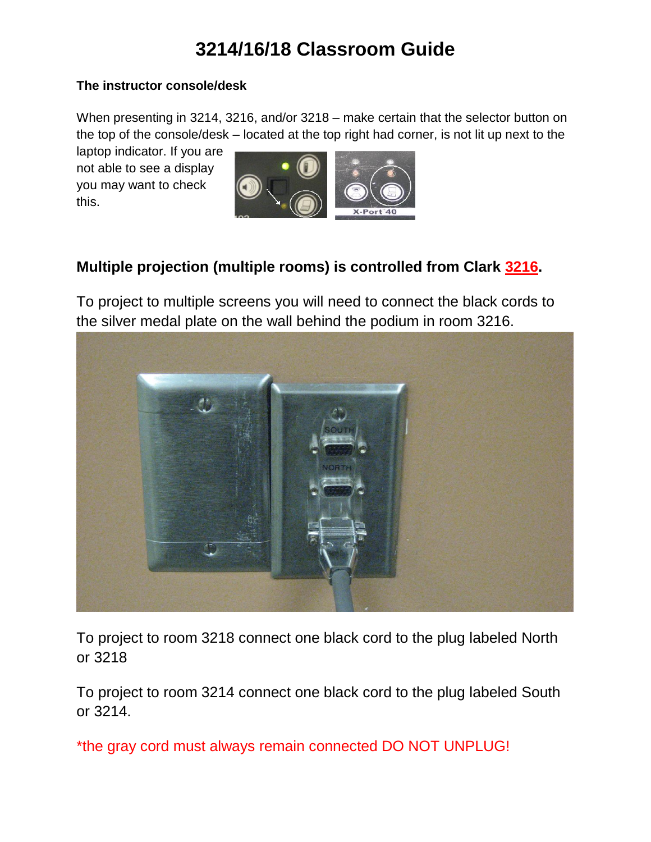## **3214/16/18 Classroom Guide**

#### **The instructor console/desk**

When presenting in 3214, 3216, and/or 3218 – make certain that the selector button on the top of the console/desk – located at the top right had corner, is not lit up next to the

laptop indicator. If you are not able to see a display you may want to check this.



### **Multiple projection (multiple rooms) is controlled from Clark 3216.**

To project to multiple screens you will need to connect the black cords to the silver medal plate on the wall behind the podium in room 3216.



To project to room 3218 connect one black cord to the plug labeled North or 3218

To project to room 3214 connect one black cord to the plug labeled South or 3214.

\*the gray cord must always remain connected DO NOT UNPLUG!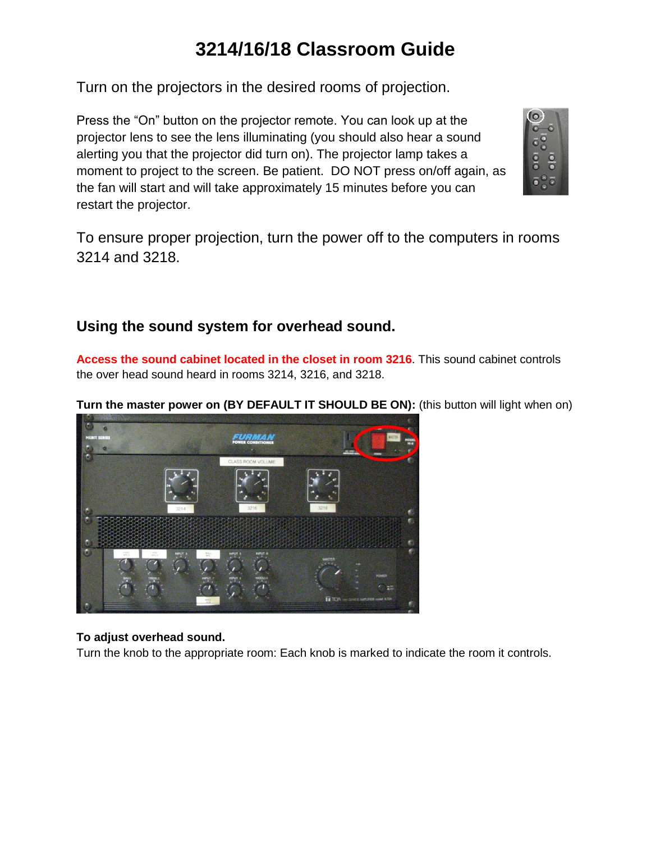## **3214/16/18 Classroom Guide**

Turn on the projectors in the desired rooms of projection.

Press the "On" button on the projector remote. You can look up at the projector lens to see the lens illuminating (you should also hear a sound alerting you that the projector did turn on). The projector lamp takes a moment to project to the screen. Be patient. DO NOT press on/off again, as the fan will start and will take approximately 15 minutes before you can restart the projector.



To ensure proper projection, turn the power off to the computers in rooms 3214 and 3218.

### **Using the sound system for overhead sound.**

**Access the sound cabinet located in the closet in room 3216**. This sound cabinet controls the over head sound heard in rooms 3214, 3216, and 3218.

**Turn the master power on (BY DEFAULT IT SHOULD BE ON):** (this button will light when on)



#### **To adjust overhead sound.**

Turn the knob to the appropriate room: Each knob is marked to indicate the room it controls.